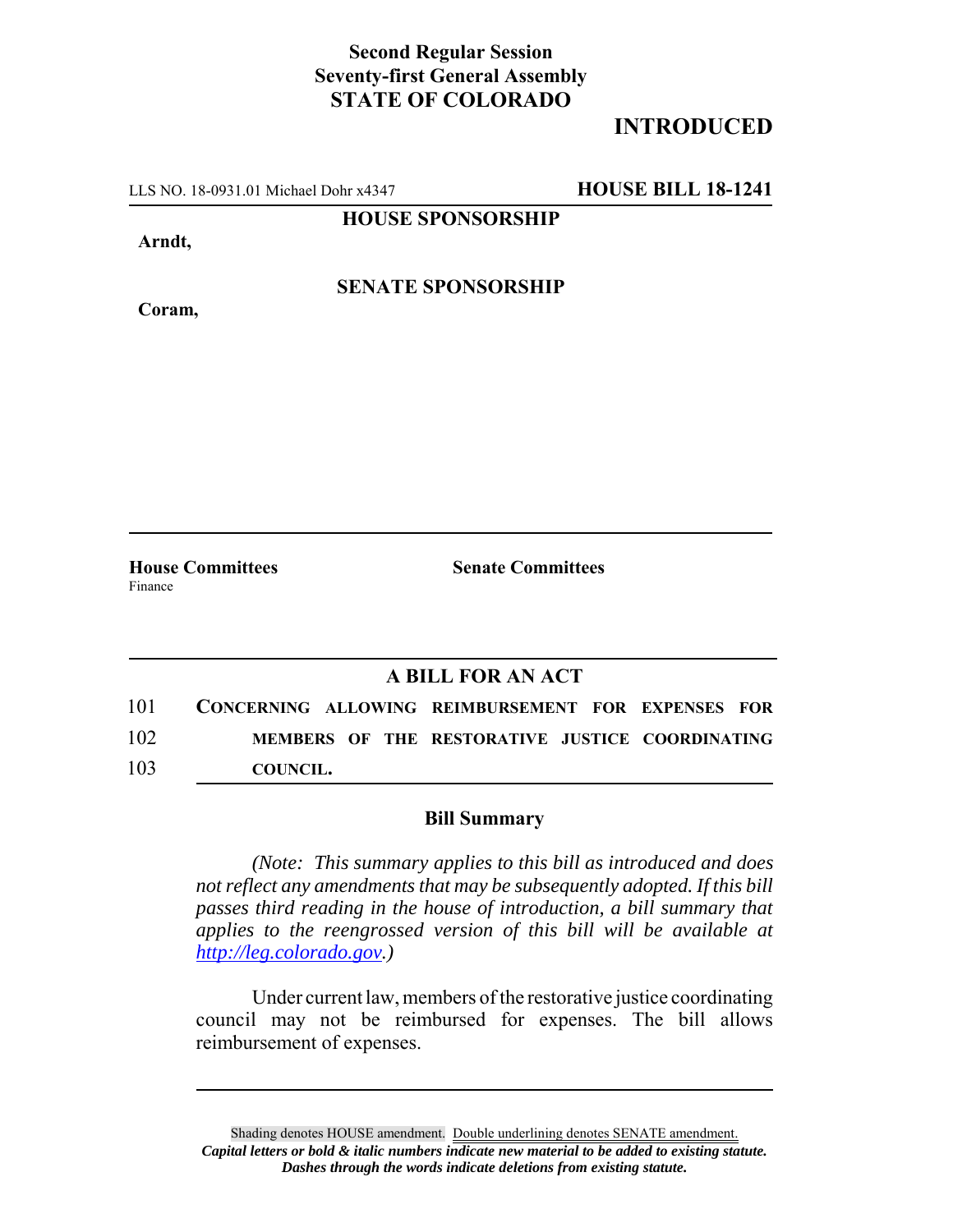## **Second Regular Session Seventy-first General Assembly STATE OF COLORADO**

## **INTRODUCED**

LLS NO. 18-0931.01 Michael Dohr x4347 **HOUSE BILL 18-1241**

**HOUSE SPONSORSHIP**

**Arndt,**

**Coram,**

**SENATE SPONSORSHIP**

**House Committees Senate Committees** Finance

## **A BILL FOR AN ACT**

101 **CONCERNING ALLOWING REIMBURSEMENT FOR EXPENSES FOR** 102 **MEMBERS OF THE RESTORATIVE JUSTICE COORDINATING** 103 **COUNCIL.**

## **Bill Summary**

*(Note: This summary applies to this bill as introduced and does not reflect any amendments that may be subsequently adopted. If this bill passes third reading in the house of introduction, a bill summary that applies to the reengrossed version of this bill will be available at http://leg.colorado.gov.)*

Under current law, members of the restorative justice coordinating council may not be reimbursed for expenses. The bill allows reimbursement of expenses.

Shading denotes HOUSE amendment. Double underlining denotes SENATE amendment. *Capital letters or bold & italic numbers indicate new material to be added to existing statute. Dashes through the words indicate deletions from existing statute.*